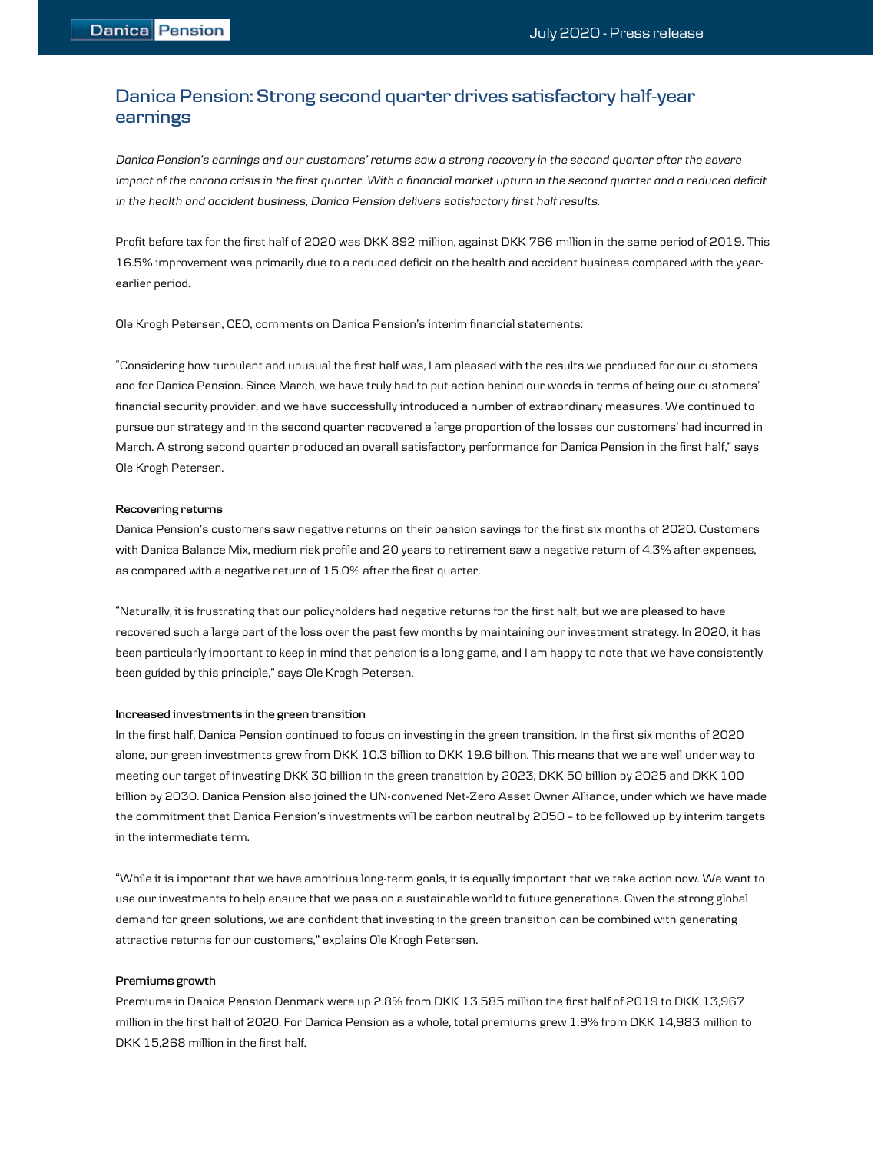# **Danica Pension: Strong second quarter drives satisfactory half-year earnings**

*Danica Pensions earnings and our customers returns saw a strong recovery in the second quarter after the severe impact of the corona crisis in the first quarter. With a financial market upturn in the second quarter and a reduced deficit in the health and accident business, Danica Pension delivers satisfactory first half results.* 

Profit before tax for the first half of 2020 was DKK 892 million, against DKK 766 million in the same period of 2019. This 16.5% improvement was primarily due to a reduced deficit on the health and accident business compared with the yearearlier period.

Ole Krogh Petersen, CEO, comments on Danica Pension's interim financial statements:

Considering how turbulent and unusual the first half was, I am pleased with the results we produced for our customers and for Danica Pension. Since March, we have truly had to put action behind our words in terms of being our customers financial security provider, and we have successfully introduced a number of extraordinary measures. We continued to pursue our strategy and in the second quarter recovered a large proportion of the losses our customers had incurred in March. A strong second quarter produced an overall satisfactory performance for Danica Pension in the first half," says Ole Krogh Petersen.

### **Recovering returns**

Danica Pension's customers saw negative returns on their pension savings for the first six months of 2020. Customers with Danica Balance Mix, medium risk profile and 20 years to retirement saw a negative return of 4.3% after expenses, as compared with a negative return of 15.0% after the first quarter.

"Naturally, it is frustrating that our policyholders had negative returns for the first half, but we are pleased to have recovered such a large part of the loss over the past few months by maintaining our investment strategy. In 2020, it has been particularly important to keep in mind that pension is a long game, and I am happy to note that we have consistently been guided by this principle," says Ole Krogh Petersen.

### **Increased investments in the green transition**

In the first half, Danica Pension continued to focus on investing in the green transition. In the first six months of 2020 alone, our green investments grew from DKK 10.3 billion to DKK 19.6 billion. This means that we are well under way to meeting our target of investing DKK 30 billion in the green transition by 2023, DKK 50 billion by 2025 and DKK 100 billion by 2030. Danica Pension also joined the UN-convened Net-Zero Asset Owner Alliance, under which we have made the commitment that Danica Pension's investments will be carbon neutral by 2050 - to be followed up by interim targets in the intermediate term.

While it is important that we have ambitious long-term goals, it is equally important that we take action now. We want to use our investments to help ensure that we pass on a sustainable world to future generations. Given the strong global demand for green solutions, we are confident that investing in the green transition can be combined with generating attractive returns for our customers," explains Ole Krogh Petersen.

## **Premiums growth**

Premiums in Danica Pension Denmark were up 2.8% from DKK 13,585 million the first half of 2019 to DKK 13,967 million in the first half of 2020. For Danica Pension as a whole, total premiums grew 1.9% from DKK 14,983 million to DKK 15,268 million in the first half.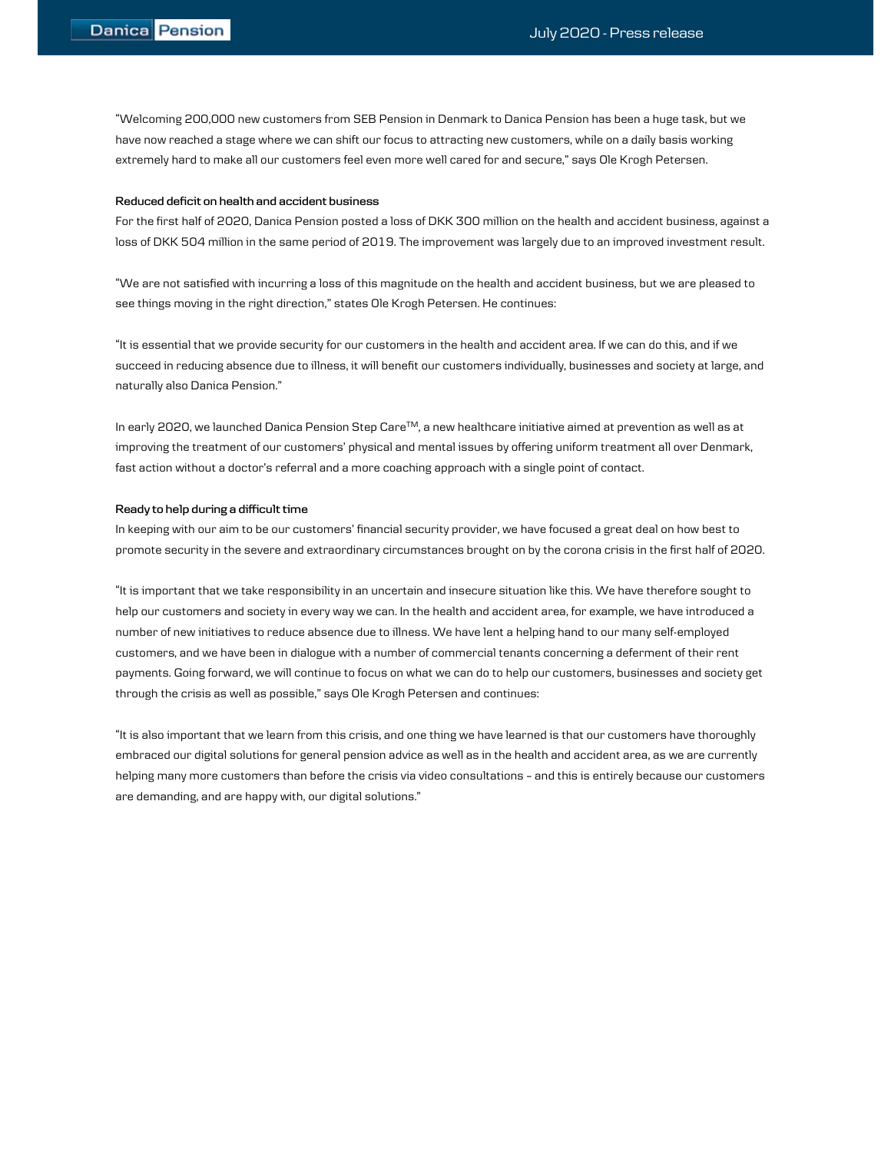Welcoming 200,000 new customers from SEB Pension in Denmark to Danica Pension has been a huge task, but we have now reached a stage where we can shift our focus to attracting new customers, while on a daily basis working extremely hard to make all our customers feel even more well cared for and secure," says Ole Krogh Petersen.

## **Reduced deficit on health and accident business**

For the first half of 2020, Danica Pension posted a loss of DKK 300 million on the health and accident business, against a loss of DKK 504 million in the same period of 2019. The improvement was largely due to an improved investment result.

We are not satisfied with incurring a loss of this magnitude on the health and accident business, but we are pleased to see things moving in the right direction," states Ole Krogh Petersen. He continues:

It is essential that we provide security for our customers in the health and accident area. If we can do this, and if we succeed in reducing absence due to illness, it will benefit our customers individually, businesses and society at large, and naturally also Danica Pension.

In early 2020, we launched Danica Pension Step CareTM, a new healthcare initiative aimed at prevention as well as at improving the treatment of our customers' physical and mental issues by offering uniform treatment all over Denmark, fast action without a doctor's referral and a more coaching approach with a single point of contact.

## **Ready to help during a difficult time**

In keeping with our aim to be our customers' financial security provider, we have focused a great deal on how best to promote security in the severe and extraordinary circumstances brought on by the corona crisis in the first half of 2020.

It is important that we take responsibility in an uncertain and insecure situation like this. We have therefore sought to help our customers and society in every way we can. In the health and accident area, for example, we have introduced a number of new initiatives to reduce absence due to illness. We have lent a helping hand to our many self-employed customers, and we have been in dialogue with a number of commercial tenants concerning a deferment of their rent payments. Going forward, we will continue to focus on what we can do to help our customers, businesses and society get through the crisis as well as possible," says Ole Krogh Petersen and continues:

It is also important that we learn from this crisis, and one thing we have learned is that our customers have thoroughly embraced our digital solutions for general pension advice as well as in the health and accident area, as we are currently helping many more customers than before the crisis via video consultations - and this is entirely because our customers are demanding, and are happy with, our digital solutions.